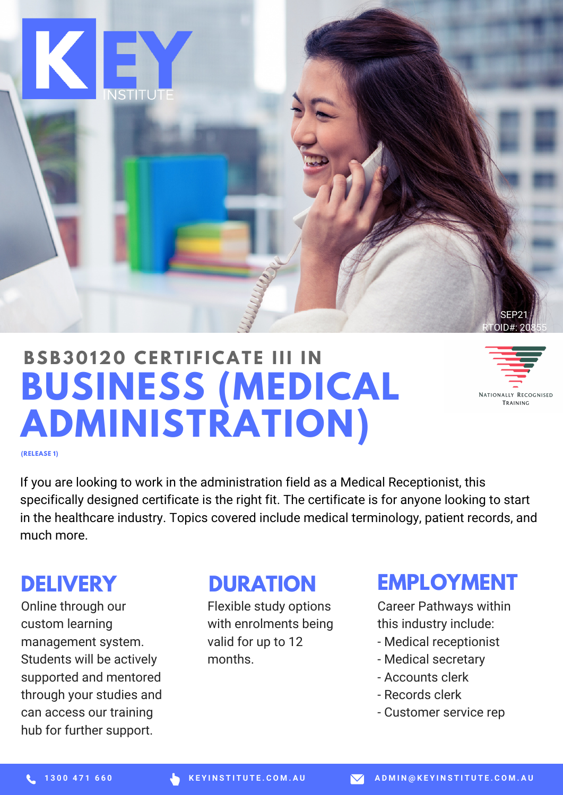

# **BUSINESS (MEDICAL ADMINISTRATION) BSB3 0 120 CE R T I F ICAT E III I N**

NATIONALLY RECOGNISED TRAINING

**(RELEASE 1)**

If you are looking to work in the administration field as a Medical Receptionist, this specifically designed certificate is the right fit. The certificate is for anyone looking to start in the healthcare industry. Topics covered include medical terminology, patient records, and much more.

#### **DELIVERY**

Online through our custom learning management system. Students will be actively supported and mentored through your studies and can access our training hub for further support.

#### **DURATION**

Flexible study options with enrolments being valid for up to 12 months.

#### **EMPLOYMENT**

Career Pathways within this industry include:

- Medical receptionist
- Medical secretary
- Accounts clerk
- Records clerk
- Customer service rep